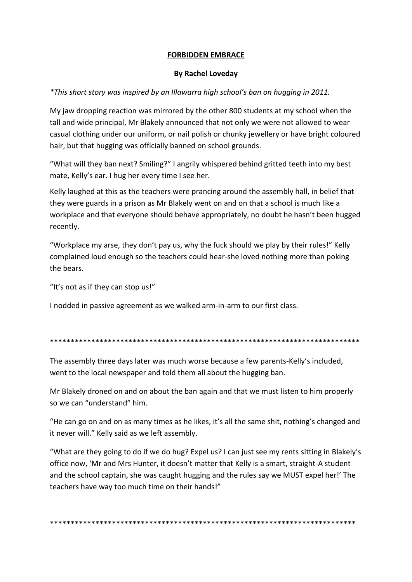## **FORBIDDEN EMBRACE**

## **By Rachel Loveday**

## *\*This short story was inspired by an Illawarra high school's ban on hugging in 2011.*

My jaw dropping reaction was mirrored by the other 800 students at my school when the tall and wide principal, Mr Blakely announced that not only we were not allowed to wear casual clothing under our uniform, or nail polish or chunky jewellery or have bright coloured hair, but that hugging was officially banned on school grounds.

"What will they ban next? Smiling?" I angrily whispered behind gritted teeth into my best mate, Kelly's ear. I hug her every time I see her.

Kelly laughed at this as the teachers were prancing around the assembly hall, in belief that they were guards in a prison as Mr Blakely went on and on that a school is much like a workplace and that everyone should behave appropriately, no doubt he hasn't been hugged recently.

"Workplace my arse, they don't pay us, why the fuck should we play by their rules!" Kelly complained loud enough so the teachers could hear-she loved nothing more than poking the bears.

"It's not as if they can stop us!"

I nodded in passive agreement as we walked arm-in-arm to our first class.

## \*\*\*\*\*\*\*\*\*\*\*\*\*\*\*\*\*\*\*\*\*\*\*\*\*\*\*\*\*\*\*\*\*\*\*\*\*\*\*\*\*\*\*\*\*\*\*\*\*\*\*\*\*\*\*\*\*\*\*\*\*\*\*\*\*\*\*\*\*\*\*\*\*\*\*

The assembly three days later was much worse because a few parents-Kelly's included, went to the local newspaper and told them all about the hugging ban.

Mr Blakely droned on and on about the ban again and that we must listen to him properly so we can "understand" him.

"He can go on and on as many times as he likes, it's all the same shit, nothing's changed and it never will." Kelly said as we left assembly.

"What are they going to do if we do hug? Expel us? I can just see my rents sitting in Blakely's office now, 'Mr and Mrs Hunter, it doesn't matter that Kelly is a smart, straight-A student and the school captain, she was caught hugging and the rules say we MUST expel her!' The teachers have way too much time on their hands!"

\*\*\*\*\*\*\*\*\*\*\*\*\*\*\*\*\*\*\*\*\*\*\*\*\*\*\*\*\*\*\*\*\*\*\*\*\*\*\*\*\*\*\*\*\*\*\*\*\*\*\*\*\*\*\*\*\*\*\*\*\*\*\*\*\*\*\*\*\*\*\*\*\*\*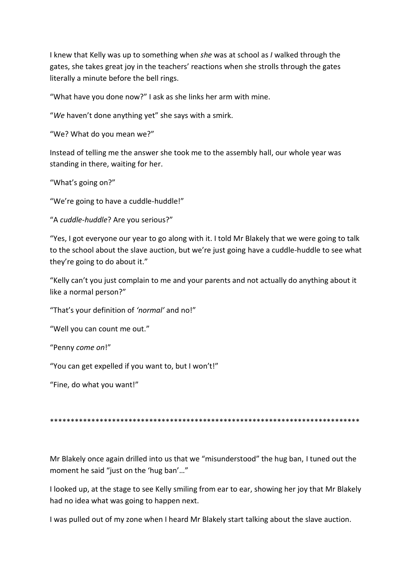I knew that Kelly was up to something when *she* was at school as *I* walked through the gates, she takes great joy in the teachers' reactions when she strolls through the gates literally a minute before the bell rings.

"What have you done now?" I ask as she links her arm with mine.

"*We* haven't done anything yet" she says with a smirk.

"We? What do you mean we?"

Instead of telling me the answer she took me to the assembly hall, our whole year was standing in there, waiting for her.

"What's going on?"

"We're going to have a cuddle-huddle!"

"A *cuddle-huddle*? Are you serious?"

"Yes, I got everyone our year to go along with it. I told Mr Blakely that we were going to talk to the school about the slave auction, but we're just going have a cuddle-huddle to see what they're going to do about it."

"Kelly can't you just complain to me and your parents and not actually do anything about it like a normal person?"

"That's your definition of *'normal'* and no!"

"Well you can count me out."

"Penny *come on*!"

"You can get expelled if you want to, but I won't!"

"Fine, do what you want!"

\*\*\*\*\*\*\*\*\*\*\*\*\*\*\*\*\*\*\*\*\*\*\*\*\*\*\*\*\*\*\*\*\*\*\*\*\*\*\*\*\*\*\*\*\*\*\*\*\*\*\*\*\*\*\*\*\*\*\*\*\*\*\*\*\*\*\*\*\*\*\*\*\*\*\*

Mr Blakely once again drilled into us that we "misunderstood" the hug ban, I tuned out the moment he said "just on the 'hug ban'…"

I looked up, at the stage to see Kelly smiling from ear to ear, showing her joy that Mr Blakely had no idea what was going to happen next.

I was pulled out of my zone when I heard Mr Blakely start talking about the slave auction.